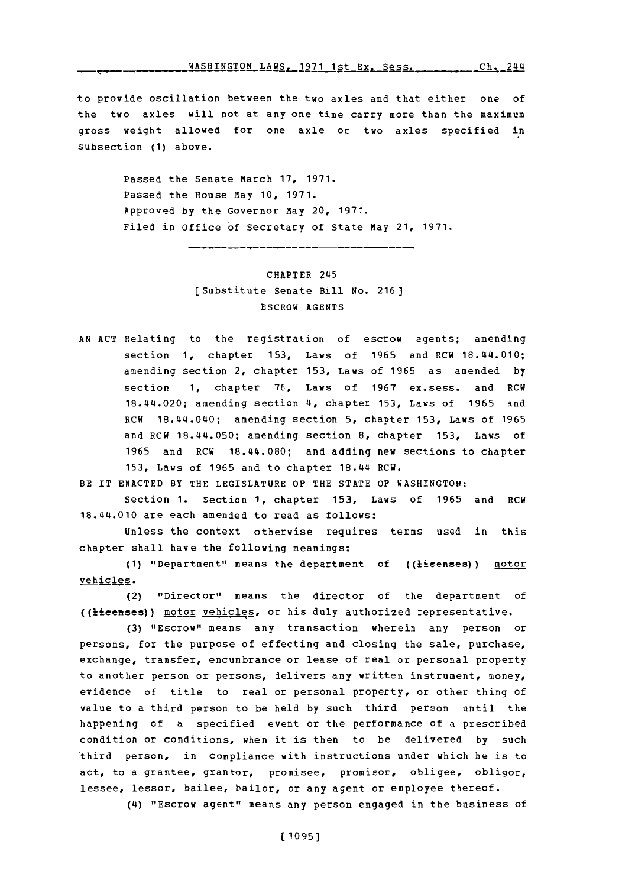## <u>\_\_WASHINGTON LAWS, 1971 1st Ex, Sess. \_\_\_\_\_ ch. 244</u>

to provide oscillation between the two axles and that either one of the two axles will not at any one time carry more than the maximum gross weight allowed for one axle or two axles specified in subsection **(1)** above.

> Passed the Senate March **17, 1971.** Passed the House May **10, 1971.** Approved **by** the Governor May 20, **1971.** Filed in office of Secretary of State May 21, **1971.**

## CHAPTER 245 [Substitute Senate Bill **No. 216)** ESCROW **AGENTS**

**AN ACT** Relating to the registration of escrow agents; amending section **1,** chapter **153,** Laws of **1965** and RCW 18.144.010; amending section 2, chapter **153,** Laws of **1965** as amended **by** section **1,** chapter **76,** Laws of **1967** ex.sess. and RCW 18.414.020; amending section **4,** chapter **153,** Laws of **1965** and RCW 18.144.0140; amending section **5,** chapter **153,** Laws of **1965** and RCW 18.144.050; amending section **8,** chapter **153,** Laws of **1965** and RCW 18.144.080; and adding new sections to chapter **153,** Laws of **1965** and to chapter 18.144 RCW.

BE IT **ENACTED** BY THE LEGISLATURE OF THE **STATE** OF WASHINGTON:

Section **1.** Section **1,** chapter **153,** Laws of **1965** and RCW 18.44.010 are each amended to read as follows:

Unless the context otherwise requires terms used in this chapter shall have the following meanings:

(1) "Department" means the department of ((licenses)) motor vehicles.

(2) "Director" means the director of the department of ((ticenses)) motor vehicles, or his duly authorized representative.

**(3)** "Escrow" means any transaction wherein any person or persons, for the purpose of effecting and closing the sale, purchase, exchange, transfer, encumbrance or lease of real or personal property to another person or persons, delivers any written instrument, money, evidence of title to real or personal property, or other thing of value to a third person to be held **by** such third person until the happening of a specified event or the performance of a prescribed condition or conditions, when it is then to be delivered **by** such third person, in compliance with instructions under which he is to act, to a grantee, grantor, promisee, promisor, obligee, obligor, lessee, lessor, bailee, bailor, or any agent or employee thereof.

(4) "Escrow agent" means any person engaged in the business of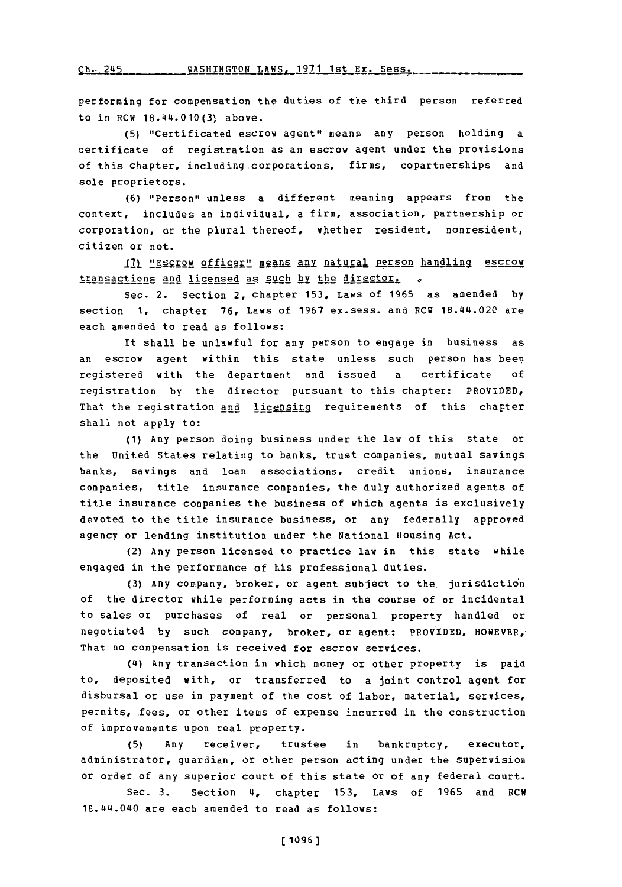**Ch.-** 245 **WASHINGTON** LAWS. **1971** 1st **Ex.** Sess.

performing for compensation the duties of the third person referred to in RCH 18.44.010(3) above.

**(5)** "Certificated escrow agent" means any person holding a certificate of registration as an escrow agent under the provisions of this chapter, including corporations, firms, copartnerships and sole proprietors.

**(6)** "Person" unless a different meaning appears from the context, includes an individual, a firm, association, partnership or corporation, or the plural thereof, whether resident, nonresident, citizen or not.

17) "Escrow officer" means any natural person handling escrow transactions and licensed as such **by** the director.-

Sec. 2. Section 2, chapter **153,** Laws of **1965** as amended **by** section **1,** chapter **76,** Laws of **<sup>1967</sup>**ex.sess. and RCW 18.4L4.020 are each amended to read as follows:

It shall be unlawful for any person to engage in business as an escrow agent within this state unless such person has been registered with the department and issued a certificate **of** registration **by** the director pursuant to this chapter: PROVIDED, That the registration and licensing requirements of this chapter shall not apply to:

**(1)** Any person doing business under the law of this state or the United States relating to banks, trust companies, mutual savings banks, savings and loan associations, credit unions, insurance companies, title insurance companies, the duly authorized agents of title insurance companies the business of which agents is exclusively devoted to the title insurance business, or any federally approved agency or lending institution under the National Housing Act.

(2) Any person licensed to practice law in this state while engaged in the performance of his professional duties.

**(3)** Any company, broker, or agent subject to the. jurisdiction of the director while performing acts in the course of or incidental to sales or purchases of real or personal property handled or negotiated **by** such company, broker, or agent: PROVIDED, HOWEVER,, That no compensation is received for escrow services.

(4) Any transaction in which money or other property is paid to, deposited with, or transferred to a joint control agent for disbursal or use in payment of the cost of labor, material, services, permits, fees, or other items of expense incurred in the construction **of** improvements upon real property.

**(5)** Any receiver, trustee in bankruptcy, executor, administrator, guardian, or other person acting under the supervision or order of any superior court of this state or of any federal court.

Sec. **3.** Section 4, chapter **153,** Laws of **1965** and RCW 18.44.040 are each amended to read as follows: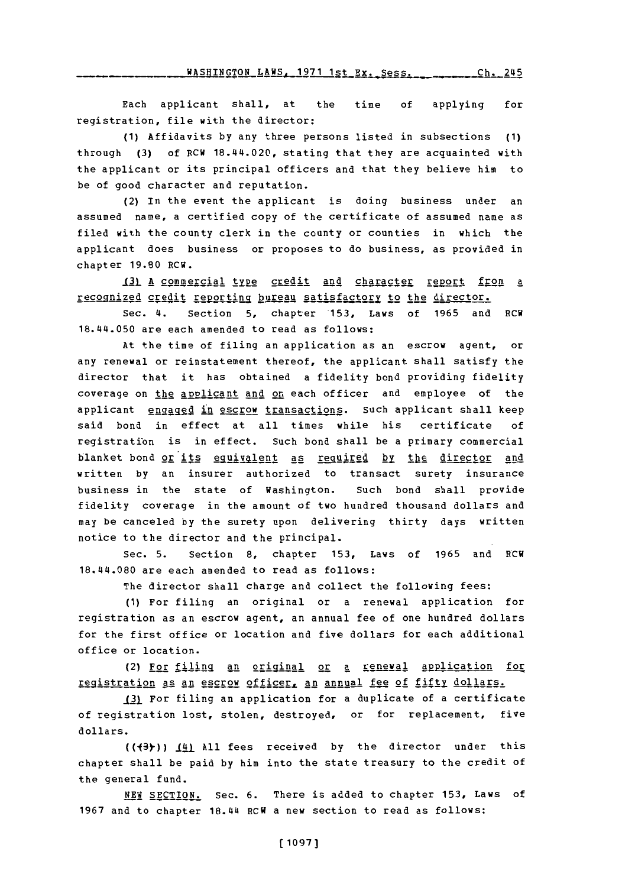Each applicant shall, at the time of applying for registration, file with the director:

**(1)** Affidavits **by** any three persons listed in subsections **(1)** through **(3)** of RCW 18.44.020, stating that they are acquainted with the applicant or its principal officers and that they believe him to be of good character and reputation.

(2) In the event the applicant is doing business under an assumed name, a certified copy of the certificate of assumed name as filed with the county clerk in the county or counties in which the applicant does business or proposes to do business, as provided in chapter **19.80** RCW.

131 A commercial type credit and character report from a recognized credit reporting bureau satisfactory to the director.

Sec. 4. section **5,** chapter **153,** Laws of **1965** and RCW 18.44.050 are each amended to read as follows:

At the time of filing an application as an escrow agent, or any renewal or reinstatement thereof, the applicant shall satisfy the director that it has obtained a fidelity bond providing fidelity coverage on the applicant and on each officer and employee of the applicant engaged in escrow transactions. Such applicant shall keep said bond in effect at all times while his certificate **of** registratibon is in effect. Such bond shall be a primary commercial blanket bond or its equivalent as required by the director and written **by** an insurer authorized to transact surety insurance business in the state of Washington. Such bond shall provide fidelity coverage in the amount of two hundred thousand dollars and may be canceled **by** the surety upon delivering thirty days written notice to the director and the principal.

Sec. **5.** Section **8,** chapter **153, Laws Of 1965** and RCW 18.44.080 are each amended to read as follows:

The director shall charge and collect the following fees:

**(1)** For filing an original or a renewal application for registration as an escrow agent, an annual fee of one hundred dollars for the first office or location and five dollars for each additional office or location.

(2) For filing an original or a renewal application for registration as an escrow of ficer, an annual fee of fifty dollars.

**\_Qj\_** For filing an application for a duplicate of a certificate of registration lost, stolen, destroyed, or for replacement, five dollars.

**((1y)i)** \_(4) **All** fees received **by** the director under this chapter shall be paid **by** him into the state treasury to the credit of the general fund.

**NEW** SECTION. Sec. **6.** There is added to chapter **153,** Laws of **1967** and to chapter 18.44 RCW a new section to read as follows: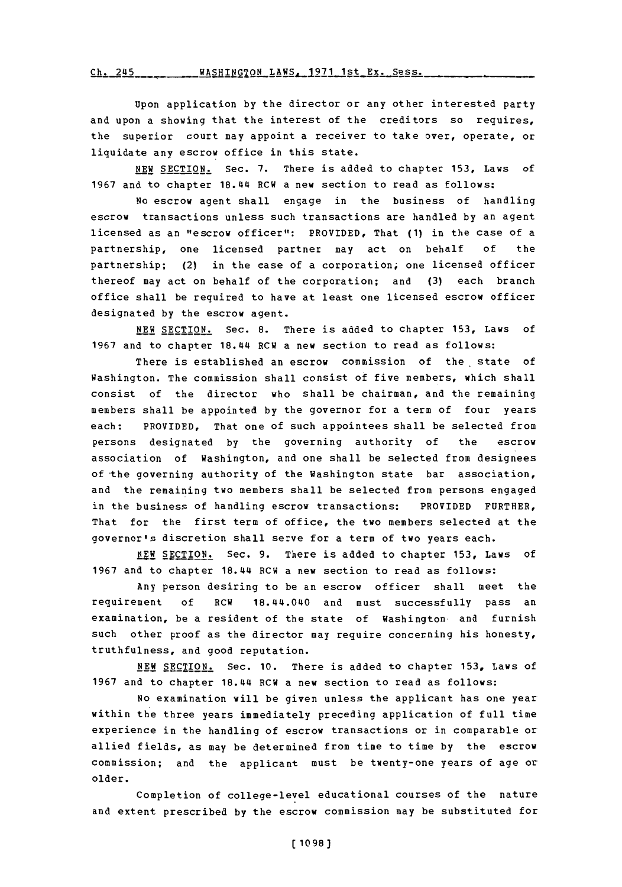Upon application **by** the director or any other interested party and upon a showing that the interest of the creditors so requires, the superior court may appoint a receiver to take over, operate, or liquidate **any** escrow office in this state.

**NEW** SECTION. Sec. **7.** There is added to chapter **153,** Laws of **1967** and to chapter 18.44 RCW a new section to read as follows:

No escrow agent shall engage in the business of handling escrow transactions unless such transactions are handled **by** an agent licensed as an "escrow officer": PROVIDED, That **(1)** in the case of a partnership, one licensed partner may act on behalf **of** the partnership; (2) in the case of a corporation, one licensed officer thereof may act on behalf of the corporation; and **(3)** each branch office shall be required to have at least one licensed escrow officer designated **by** the escrow agent.

**NEW** SECTION. Sec. **8.** There is added to chapter **153,** Laws of **1967** and to chapter 18.44 RCW a new section to read as follows:

There is established an escrow commission of the state of Washington. The commission shall consist of five members, which shall consist of the director who shall be chairman, and the remaining members shall be appointed **by** the governor for a term of four years each: PROVIDED, That one of such appointees shall be selected from persons designated **by** the governing authority of the escrow association of Washington, and one shall be selected from designees of the governing authority of the Washington state bar association, and the remaining two members shall be selected from persons engaged in the business of handling escrow transactions: PROVIDED FURTHER, That for the first term of office, the two members selected at the governor's discretion shall serve for a term of two years each.

**NEW SECTION.** Sec. **9.** There is added to chapter **153,** Laws of **1967** and to chapter 18.44 RCW a new section to read as follows:

Any person desiring to be an escrow officer shall meet the requirement **of** RCW 18.44.040 and must successfully pass an examination, be a resident of the state of Washington and furnish such other proof as the director may require concerning his honesty, truthfulness, and good reputation.

**NEW SECTION.** Sec. **10.** There is added to chapter **153,** Laws of **1967** and to chapter 18.44 RCW a new section to read as follows:

No examination will be given unless the applicant has one year within the three years immediately preceding application of full time experience in the handling of escrow transactions or in comparable or allied fields, as may be determined from time to time **by** the escrow commission; and the applicant must be twenty-one years of age or older.

Completion of college-level educational courses of the nature and extent prescribed **by** the escrow commission may be substituted for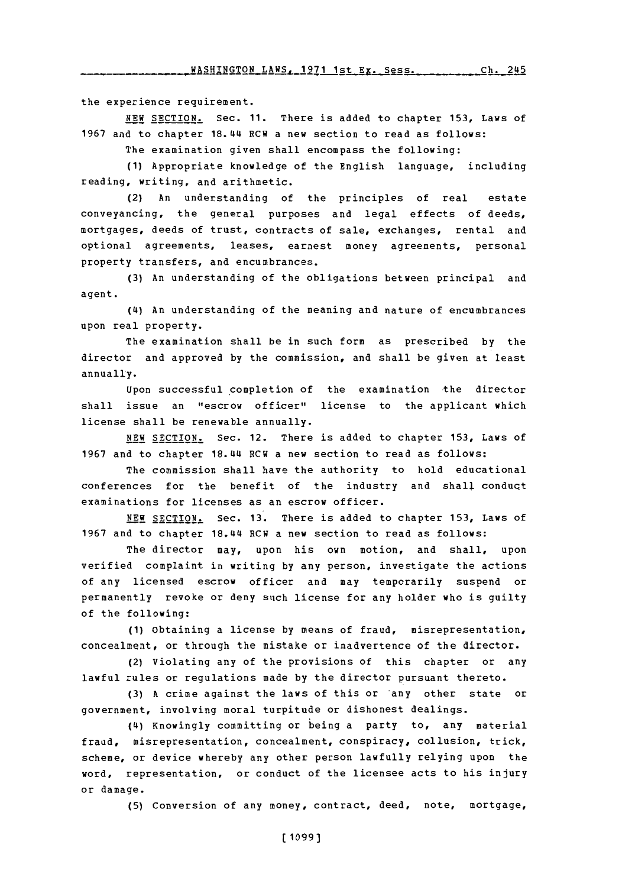WASHINGTON LAWS. 1971 1st Ex. Sess. *r-1,* '345

the experience requirement.

**NEW SECTION.** Sec. **11.** There is added to chapter **153,** Laws of **1967** and to chapter 18.44 RCW a new section to read as follows:

The examination given shall encompass the following:

**(1)** Appropriate knowledge of the English language, including reading, writing, and arithmetic.

(2) An understanding of the principles of real estate conveyancing, the general purposes and legal effects of deeds, mortgages, deeds of trust, contracts of sale, exchanges, rental and optional agreements, leases, earnest money agreements, personal property transfers, and encumbrances.

**(3)** An understanding of the obligations between principal and agent.

(4) An understanding of the meaning and nature of encumbrances upon real property.

The examination shall be in such form as prescribed **by** the director and approved **by** the commission, and shall be given at least annually.

Upon successful completion of the examination the director shall issue an "escrow officer" license to the applicant which license shall be renewable annually.

**NEW** SECTION. Sec. 12. There is added to chapter **153,** Laws of **1967** and to chapter 18.44 RCW a new section to read as follows:

The commission shall have the authority to hold educational conferences for the benefit of the industry and shall conduct examinations for licenses as an escrow officer.

**NEW SECTION.** Sec. **13.** There is added to chapter **153,** Laws of **1967** and to chapter 18.44 RCW a new section to read as follows:

The director may, upon his own motion, and shall, upon verified complaint in writing **by** any person, investigate the actions of any licensed escrow officer and may temporarily suspend or permanently revoke or deny such license for any holder who is guilty of the following:

**(1)** obtaining a license **by** means of fraud, misrepresentation, concealment, or through the mistake or inadvertence of the director.

(2) violating any of the provisions of this chapter or any lawful rules or regulations made **by** the director pursuant thereto.

**(3) A** crime against the laws of this or \*any other state or government, involving moral turpitude or dishonest dealings.

(4) Knowingly committing or being a party to, any material fraud, misrepresentation, concealment, conspiracy, collusion, trick, scheme, or device whereby any other person lawfully relying upon the word, representation, or conduct of the licensee acts to his injury or damage.

**(5)** Conversion of any money, contract, deed, note, mortgage,